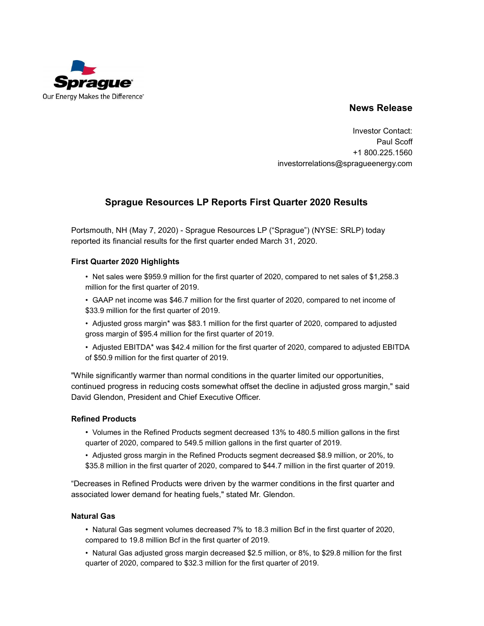

## **News Release**

Investor Contact: Paul Scoff +1 800.225.1560 investorrelations@spragueenergy.com

# **Sprague Resources LP Reports First Quarter 2020 Results**

Portsmouth, NH (May 7, 2020) - Sprague Resources LP ("Sprague") (NYSE: SRLP) today reported its financial results for the first quarter ended March 31, 2020.

## **First Quarter 2020 Highlights**

- Net sales were \$959.9 million for the first quarter of 2020, compared to net sales of \$1,258.3 million for the first quarter of 2019.
- GAAP net income was \$46.7 million for the first quarter of 2020, compared to net income of \$33.9 million for the first quarter of 2019.
- Adjusted gross margin\* was \$83.1 million for the first quarter of 2020, compared to adjusted gross margin of \$95.4 million for the first quarter of 2019.
- Adjusted EBITDA\* was \$42.4 million for the first quarter of 2020, compared to adjusted EBITDA of \$50.9 million for the first quarter of 2019.

"While significantly warmer than normal conditions in the quarter limited our opportunities, continued progress in reducing costs somewhat offset the decline in adjusted gross margin," said David Glendon, President and Chief Executive Officer.

### **Refined Products**

- Volumes in the Refined Products segment decreased 13% to 480.5 million gallons in the first quarter of 2020, compared to 549.5 million gallons in the first quarter of 2019.
- Adjusted gross margin in the Refined Products segment decreased \$8.9 million, or 20%, to \$35.8 million in the first quarter of 2020, compared to \$44.7 million in the first quarter of 2019.

"Decreases in Refined Products were driven by the warmer conditions in the first quarter and associated lower demand for heating fuels," stated Mr. Glendon.

### **Natural Gas**

- Natural Gas segment volumes decreased 7% to 18.3 million Bcf in the first quarter of 2020, compared to 19.8 million Bcf in the first quarter of 2019.
- Natural Gas adjusted gross margin decreased \$2.5 million, or 8%, to \$29.8 million for the first quarter of 2020, compared to \$32.3 million for the first quarter of 2019.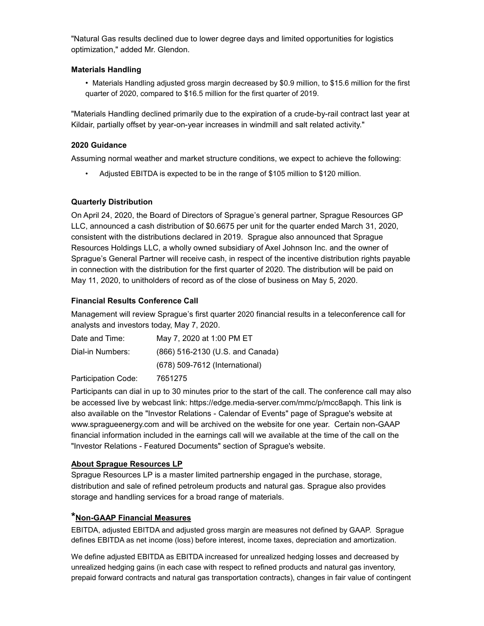"Natural Gas results declined due to lower degree days and limited opportunities for logistics optimization," added Mr. Glendon.

## **Materials Handling**

• Materials Handling adjusted gross margin decreased by \$0.9 million, to \$15.6 million for the first quarter of 2020, compared to \$16.5 million for the first quarter of 2019.

"Materials Handling declined primarily due to the expiration of a crude-by-rail contract last year at Kildair, partially offset by year-on-year increases in windmill and salt related activity."

### **2020 Guidance**

Assuming normal weather and market structure conditions, we expect to achieve the following:

• Adjusted EBITDA is expected to be in the range of \$105 million to \$120 million.

## **Quarterly Distribution**

On April 24, 2020, the Board of Directors of Sprague's general partner, Sprague Resources GP LLC, announced a cash distribution of \$0.6675 per unit for the quarter ended March 31, 2020, consistent with the distributions declared in 2019. Sprague also announced that Sprague Resources Holdings LLC, a wholly owned subsidiary of Axel Johnson Inc. and the owner of Sprague's General Partner will receive cash, in respect of the incentive distribution rights payable in connection with the distribution for the first quarter of 2020. The distribution will be paid on May 11, 2020, to unitholders of record as of the close of business on May 5, 2020.

## **Financial Results Conference Call**

Management will review Sprague's first quarter 2020 financial results in a teleconference call for analysts and investors today, May 7, 2020.

| Date and Time:   | May 7, 2020 at 1:00 PM ET        |
|------------------|----------------------------------|
| Dial-in Numbers: | (866) 516-2130 (U.S. and Canada) |
|                  | (678) 509-7612 (International)   |

Participation Code: 7651275

Participants can dial in up to 30 minutes prior to the start of the call. The conference call may also be accessed live by webcast link: https://edge.media-server.com/mmc/p/mcc8apqh. This link is also available on the "Investor Relations - Calendar of Events" page of Sprague's website at www.spragueenergy.com and will be archived on the website for one year. Certain non-GAAP financial information included in the earnings call will we available at the time of the call on the "Investor Relations - Featured Documents" section of Sprague's website.

### **About Sprague Resources LP**

Sprague Resources LP is a master limited partnership engaged in the purchase, storage, distribution and sale of refined petroleum products and natural gas. Sprague also provides storage and handling services for a broad range of materials.

## **\*Non-GAAP Financial Measures**

EBITDA, adjusted EBITDA and adjusted gross margin are measures not defined by GAAP. Sprague defines EBITDA as net income (loss) before interest, income taxes, depreciation and amortization.

We define adjusted EBITDA as EBITDA increased for unrealized hedging losses and decreased by unrealized hedging gains (in each case with respect to refined products and natural gas inventory, prepaid forward contracts and natural gas transportation contracts), changes in fair value of contingent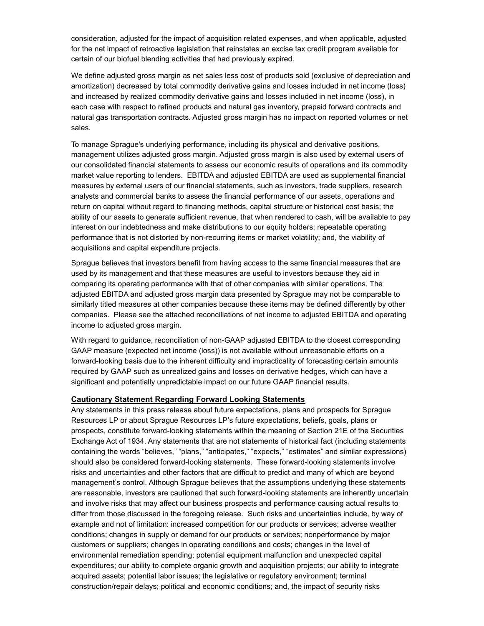consideration, adjusted for the impact of acquisition related expenses, and when applicable, adjusted for the net impact of retroactive legislation that reinstates an excise tax credit program available for certain of our biofuel blending activities that had previously expired.

We define adjusted gross margin as net sales less cost of products sold (exclusive of depreciation and amortization) decreased by total commodity derivative gains and losses included in net income (loss) and increased by realized commodity derivative gains and losses included in net income (loss), in each case with respect to refined products and natural gas inventory, prepaid forward contracts and natural gas transportation contracts. Adjusted gross margin has no impact on reported volumes or net sales.

To manage Sprague's underlying performance, including its physical and derivative positions, management utilizes adjusted gross margin. Adjusted gross margin is also used by external users of our consolidated financial statements to assess our economic results of operations and its commodity market value reporting to lenders. EBITDA and adjusted EBITDA are used as supplemental financial measures by external users of our financial statements, such as investors, trade suppliers, research analysts and commercial banks to assess the financial performance of our assets, operations and return on capital without regard to financing methods, capital structure or historical cost basis; the ability of our assets to generate sufficient revenue, that when rendered to cash, will be available to pay interest on our indebtedness and make distributions to our equity holders; repeatable operating performance that is not distorted by non-recurring items or market volatility; and, the viability of acquisitions and capital expenditure projects.

Sprague believes that investors benefit from having access to the same financial measures that are used by its management and that these measures are useful to investors because they aid in comparing its operating performance with that of other companies with similar operations. The adjusted EBITDA and adjusted gross margin data presented by Sprague may not be comparable to similarly titled measures at other companies because these items may be defined differently by other companies. Please see the attached reconciliations of net income to adjusted EBITDA and operating income to adjusted gross margin.

With regard to guidance, reconciliation of non-GAAP adjusted EBITDA to the closest corresponding GAAP measure (expected net income (loss)) is not available without unreasonable efforts on a forward-looking basis due to the inherent difficulty and impracticality of forecasting certain amounts required by GAAP such as unrealized gains and losses on derivative hedges, which can have a significant and potentially unpredictable impact on our future GAAP financial results.

#### **Cautionary Statement Regarding Forward Looking Statements**

Any statements in this press release about future expectations, plans and prospects for Sprague Resources LP or about Sprague Resources LP's future expectations, beliefs, goals, plans or prospects, constitute forward-looking statements within the meaning of Section 21E of the Securities Exchange Act of 1934. Any statements that are not statements of historical fact (including statements containing the words "believes," "plans," "anticipates," "expects," "estimates" and similar expressions) should also be considered forward-looking statements. These forward-looking statements involve risks and uncertainties and other factors that are difficult to predict and many of which are beyond management's control. Although Sprague believes that the assumptions underlying these statements are reasonable, investors are cautioned that such forward-looking statements are inherently uncertain and involve risks that may affect our business prospects and performance causing actual results to differ from those discussed in the foregoing release. Such risks and uncertainties include, by way of example and not of limitation: increased competition for our products or services; adverse weather conditions; changes in supply or demand for our products or services; nonperformance by major customers or suppliers; changes in operating conditions and costs; changes in the level of environmental remediation spending; potential equipment malfunction and unexpected capital expenditures; our ability to complete organic growth and acquisition projects; our ability to integrate acquired assets; potential labor issues; the legislative or regulatory environment; terminal construction/repair delays; political and economic conditions; and, the impact of security risks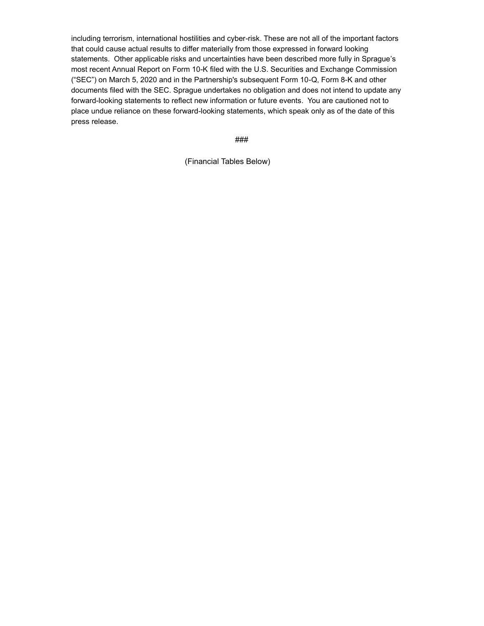including terrorism, international hostilities and cyber-risk. These are not all of the important factors that could cause actual results to differ materially from those expressed in forward looking statements. Other applicable risks and uncertainties have been described more fully in Sprague's most recent Annual Report on Form 10-K filed with the U.S. Securities and Exchange Commission ("SEC") on March 5, 2020 and in the Partnership's subsequent Form 10-Q, Form 8-K and other documents filed with the SEC. Sprague undertakes no obligation and does not intend to update any forward-looking statements to reflect new information or future events. You are cautioned not to place undue reliance on these forward-looking statements, which speak only as of the date of this press release.

###

(Financial Tables Below)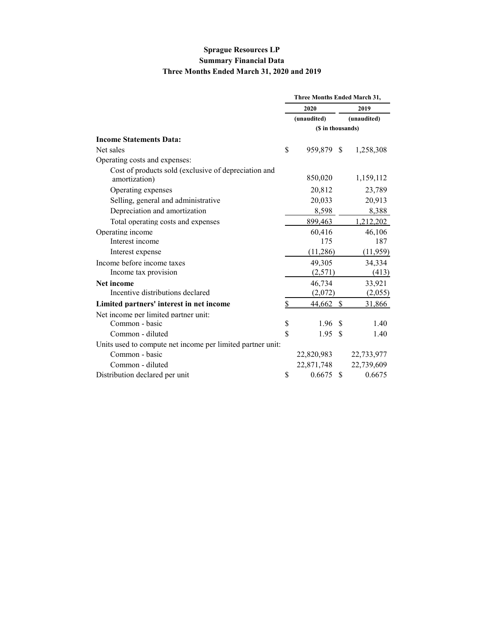# **Sprague Resources LP Summary Financial Data Three Months Ended March 31, 2020 and 2019**

|                                                                       | <b>Three Months Ended March 31,</b> |               |             |  |  |
|-----------------------------------------------------------------------|-------------------------------------|---------------|-------------|--|--|
|                                                                       | 2020                                |               | 2019        |  |  |
|                                                                       | (unaudited)                         |               | (unaudited) |  |  |
|                                                                       | (\$ in thousands)                   |               |             |  |  |
| <b>Income Statements Data:</b>                                        |                                     |               |             |  |  |
| Net sales                                                             | \$<br>959,879 \$                    |               | 1,258,308   |  |  |
| Operating costs and expenses:                                         |                                     |               |             |  |  |
| Cost of products sold (exclusive of depreciation and<br>amortization) | 850,020                             |               | 1,159,112   |  |  |
| Operating expenses                                                    | 20,812                              |               | 23,789      |  |  |
| Selling, general and administrative                                   | 20,033                              |               | 20,913      |  |  |
| Depreciation and amortization                                         | 8,598                               |               | 8,388       |  |  |
| Total operating costs and expenses                                    | 899,463                             |               | 1,212,202   |  |  |
| Operating income                                                      | 60,416                              |               | 46,106      |  |  |
| Interest income                                                       | 175                                 |               | 187         |  |  |
| Interest expense                                                      | (11,286)                            |               | (11, 959)   |  |  |
| Income before income taxes                                            | 49,305                              |               | 34,334      |  |  |
| Income tax provision                                                  | (2,571)                             |               | (413)       |  |  |
| <b>Net income</b>                                                     | 46,734                              |               | 33,921      |  |  |
| Incentive distributions declared                                      | (2,072)                             |               | (2,055)     |  |  |
| Limited partners' interest in net income                              | $44,662$ \$                         |               | 31,866      |  |  |
| Net income per limited partner unit:                                  |                                     |               |             |  |  |
| Common - basic                                                        | \$<br>1.96                          | -S            | 1.40        |  |  |
| Common - diluted                                                      | \$<br>1.95                          | <sup>\$</sup> | 1.40        |  |  |
| Units used to compute net income per limited partner unit:            |                                     |               |             |  |  |
| Common - basic                                                        | 22,820,983                          |               | 22,733,977  |  |  |
| Common - diluted                                                      | 22,871,748                          |               | 22,739,609  |  |  |
| Distribution declared per unit                                        | \$<br>0.6675                        | \$            | 0.6675      |  |  |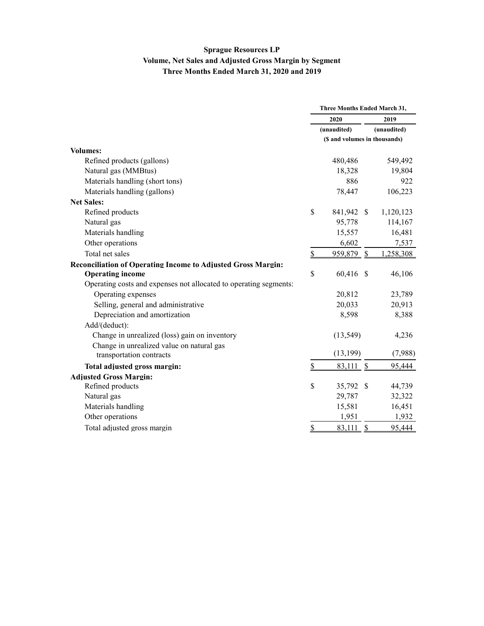# **Sprague Resources LP Volume, Net Sales and Adjusted Gross Margin by Segment Three Months Ended March 31, 2020 and 2019**

|                                                                     |    | <b>Three Months Ended March 31,</b> |      |                     |  |
|---------------------------------------------------------------------|----|-------------------------------------|------|---------------------|--|
|                                                                     |    | 2020<br>(unaudited)                 |      | 2019<br>(unaudited) |  |
|                                                                     |    |                                     |      |                     |  |
|                                                                     |    | (\$ and volumes in thousands)       |      |                     |  |
| <b>Volumes:</b>                                                     |    |                                     |      |                     |  |
| Refined products (gallons)                                          |    | 480,486                             |      | 549,492             |  |
| Natural gas (MMBtus)                                                |    | 18,328                              |      | 19,804              |  |
| Materials handling (short tons)                                     |    | 886                                 |      | 922                 |  |
| Materials handling (gallons)                                        |    | 78,447                              |      | 106,223             |  |
| <b>Net Sales:</b>                                                   |    |                                     |      |                     |  |
| Refined products                                                    | \$ | 841,942 \$                          |      | 1,120,123           |  |
| Natural gas                                                         |    | 95,778                              |      | 114,167             |  |
| Materials handling                                                  |    | 15,557                              |      | 16,481              |  |
| Other operations                                                    |    | 6,602                               |      | 7,537               |  |
| Total net sales                                                     | \$ | 959,879 \$                          |      | 1,258,308           |  |
| <b>Reconciliation of Operating Income to Adiusted Gross Margin:</b> |    |                                     |      |                     |  |
| <b>Operating income</b>                                             | \$ | 60,416                              | - \$ | 46,106              |  |
| Operating costs and expenses not allocated to operating segments:   |    |                                     |      |                     |  |
| Operating expenses                                                  |    | 20,812                              |      | 23,789              |  |
| Selling, general and administrative                                 |    | 20,033                              |      | 20,913              |  |
| Depreciation and amortization                                       |    | 8,598                               |      | 8,388               |  |
| Add/(deduct):                                                       |    |                                     |      |                     |  |
| Change in unrealized (loss) gain on inventory                       |    | (13, 549)                           |      | 4,236               |  |
| Change in unrealized value on natural gas                           |    |                                     |      |                     |  |
| transportation contracts                                            |    | (13, 199)                           |      | (7,988)             |  |
| Total adjusted gross margin:                                        | \$ | 83,111 \$                           |      | 95,444              |  |
| <b>Adjusted Gross Margin:</b>                                       |    |                                     |      |                     |  |
| Refined products                                                    | \$ | 35,792 \$                           |      | 44,739              |  |
| Natural gas                                                         |    | 29,787                              |      | 32,322              |  |
| Materials handling                                                  |    | 15,581                              |      | 16,451              |  |
| Other operations                                                    |    | 1,951                               |      | 1,932               |  |
| Total adjusted gross margin                                         | \$ | 83,111 \$                           |      | 95,444              |  |